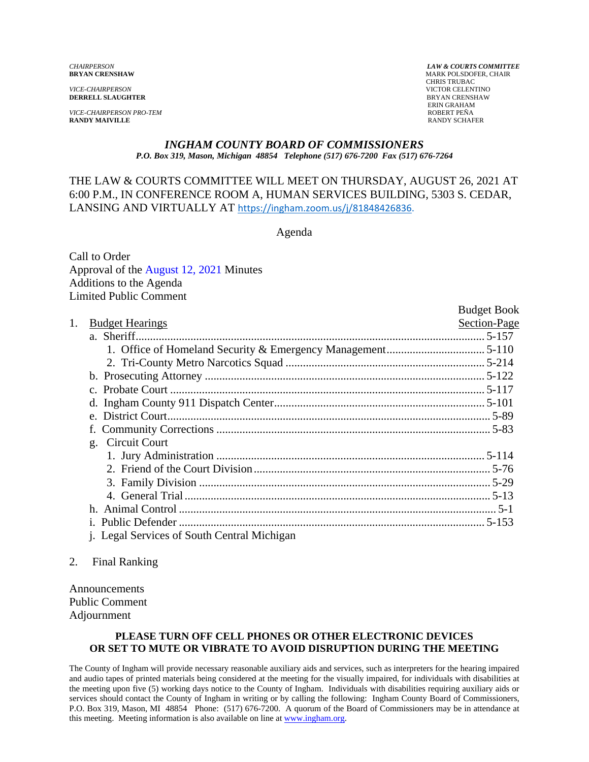*VICE-CHAIRPERSON* VICTOR CELENTINO **DERRELL SLAUGHTER** 

*VICE-CHAIRPERSON PRO-TEM*<br>**RANDY MAIVILLE** RANDY SCHAFFR **RANDY MAIVILLE** 

*CHAIRPERSON LAW & COURTS COMMITTEE* **MARK POLSDOFER, CHAIR**  CHRIS TRUBAC ERIN GRAHAM

#### *INGHAM COUNTY BOARD OF COMMISSIONERS P.O. Box 319, Mason, Michigan 48854 Telephone (517) 676-7200 Fax (517) 676-7264*

## THE LAW & COURTS COMMITTEE WILL MEET ON THURSDAY, AUGUST 26, 2021 AT 6:00 P.M., IN CONFERENCE R[OOM A, HUMAN SERVICES BUILDING, 5303](https://ingham.zoom.us/j/81848426836) S. CEDAR, LANSING AND VIRTUALLY AT https://ingham.zoom.us/j/81848426836.

Agenda

Call to Order Approval of [the August 12, 2021 Minutes](#page-1-0)  Additions to the Agenda Limited Public Comment

|    |                                                    | <b>Budget Book</b> |
|----|----------------------------------------------------|--------------------|
| 1. | <b>Budget Hearings</b>                             | Section-Page       |
|    |                                                    |                    |
|    |                                                    |                    |
|    |                                                    |                    |
|    |                                                    |                    |
|    |                                                    |                    |
|    |                                                    |                    |
|    |                                                    |                    |
|    |                                                    |                    |
|    | g. Circuit Court                                   |                    |
|    |                                                    |                    |
|    |                                                    |                    |
|    |                                                    |                    |
|    |                                                    |                    |
|    |                                                    |                    |
|    |                                                    |                    |
|    | <i>i.</i> Legal Services of South Central Michigan |                    |

### 2. Final Ranking

Announcements Public Comment Adjournment

### **PLEASE TURN OFF CELL PHONES OR OTHER ELECTRONIC DEVICES OR SET TO MUTE OR VIBRATE TO AVOID DISRUPTION DURING THE MEETING**

The County of Ingham will provide necessary reasonable auxiliary aids and services, such as interpreters for the hearing impaired and audio tapes of printed materials being considered at the meeting for the visually impaired, for individuals with disabilities at the meeting upon five (5) working days notice to the County of Ingham. Individuals with disabilities requiring auxiliary aids or services should contact the County of Ingham in writing or by calling the following: Ingham County Board of Commissioners, P.O. Box 319, Mason, MI 48854 Phone: (517) 676-7200. A quorum of the Board of Commissioners may be in attendance at this meeting. Meeting information is also available on line at www.ingham.org.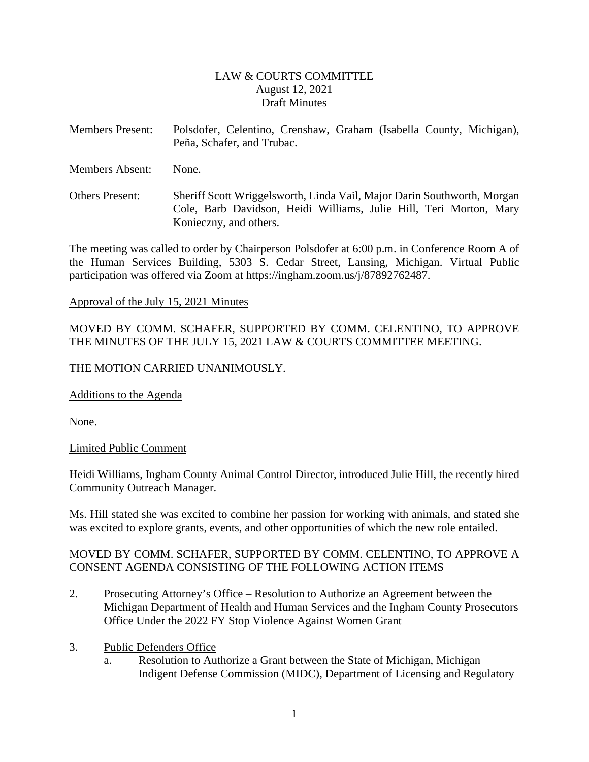## LAW & COURTS COMMITTEE August 12, 2021 Draft Minutes

- <span id="page-1-0"></span>Members Present: Polsdofer, Celentino, Crenshaw, Graham (Isabella County, Michigan), Peña, Schafer, and Trubac.
- Members Absent: None.
- Others Present: Sheriff Scott Wriggelsworth, Linda Vail, Major Darin Southworth, Morgan Cole, Barb Davidson, Heidi Williams, Julie Hill, Teri Morton, Mary Konieczny, and others.

The meeting was called to order by Chairperson Polsdofer at 6:00 p.m. in Conference Room A of the Human Services Building, 5303 S. Cedar Street, Lansing, Michigan. Virtual Public participation was offered via Zoom at https://ingham.zoom.us/j/87892762487.

### Approval of the July 15, 2021 Minutes

MOVED BY COMM. SCHAFER, SUPPORTED BY COMM. CELENTINO, TO APPROVE THE MINUTES OF THE JULY 15, 2021 LAW & COURTS COMMITTEE MEETING.

## THE MOTION CARRIED UNANIMOUSLY.

Additions to the Agenda

None.

## Limited Public Comment

Heidi Williams, Ingham County Animal Control Director, introduced Julie Hill, the recently hired Community Outreach Manager.

Ms. Hill stated she was excited to combine her passion for working with animals, and stated she was excited to explore grants, events, and other opportunities of which the new role entailed.

# MOVED BY COMM. SCHAFER, SUPPORTED BY COMM. CELENTINO, TO APPROVE A CONSENT AGENDA CONSISTING OF THE FOLLOWING ACTION ITEMS

- 2. Prosecuting Attorney's Office Resolution to Authorize an Agreement between the Michigan Department of Health and Human Services and the Ingham County Prosecutors Office Under the 2022 FY Stop Violence Against Women Grant
- 3. Public Defenders Office
	- a. Resolution to Authorize a Grant between the State of Michigan, Michigan Indigent Defense Commission (MIDC), Department of Licensing and Regulatory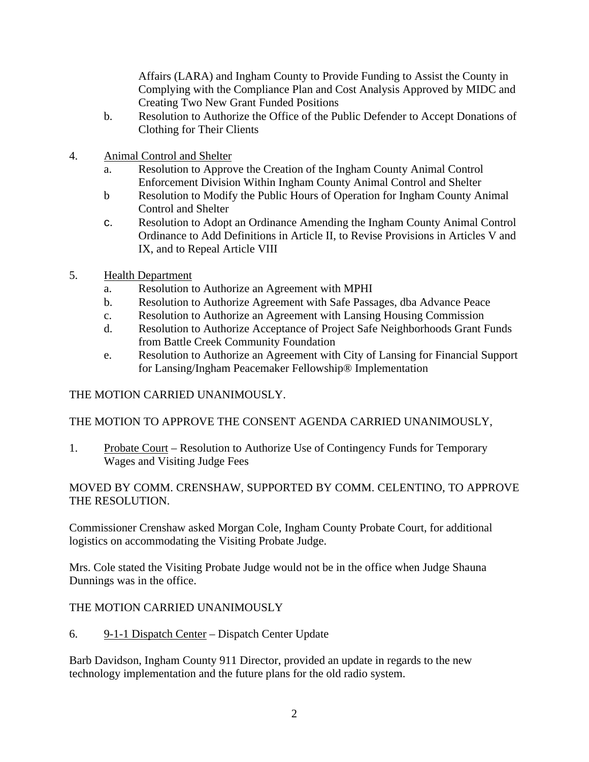Affairs (LARA) and Ingham County to Provide Funding to Assist the County in Complying with the Compliance Plan and Cost Analysis Approved by MIDC and Creating Two New Grant Funded Positions

- b. Resolution to Authorize the Office of the Public Defender to Accept Donations of Clothing for Their Clients
- 4. Animal Control and Shelter
	- a. Resolution to Approve the Creation of the Ingham County Animal Control Enforcement Division Within Ingham County Animal Control and Shelter
	- b Resolution to Modify the Public Hours of Operation for Ingham County Animal Control and Shelter
	- c. Resolution to Adopt an Ordinance Amending the Ingham County Animal Control Ordinance to Add Definitions in Article II, to Revise Provisions in Articles V and IX, and to Repeal Article VIII
- 5. Health Department
	- a. Resolution to Authorize an Agreement with MPHI
	- b. Resolution to Authorize Agreement with Safe Passages, dba Advance Peace
	- c. Resolution to Authorize an Agreement with Lansing Housing Commission
	- d. Resolution to Authorize Acceptance of Project Safe Neighborhoods Grant Funds from Battle Creek Community Foundation
	- e. Resolution to Authorize an Agreement with City of Lansing for Financial Support for Lansing/Ingham Peacemaker Fellowship® Implementation

# THE MOTION CARRIED UNANIMOUSLY.

# THE MOTION TO APPROVE THE CONSENT AGENDA CARRIED UNANIMOUSLY,

1. Probate Court – Resolution to Authorize Use of Contingency Funds for Temporary Wages and Visiting Judge Fees

# MOVED BY COMM. CRENSHAW, SUPPORTED BY COMM. CELENTINO, TO APPROVE THE RESOLUTION.

Commissioner Crenshaw asked Morgan Cole, Ingham County Probate Court, for additional logistics on accommodating the Visiting Probate Judge.

Mrs. Cole stated the Visiting Probate Judge would not be in the office when Judge Shauna Dunnings was in the office.

# THE MOTION CARRIED UNANIMOUSLY

6. 9-1-1 Dispatch Center – Dispatch Center Update

Barb Davidson, Ingham County 911 Director, provided an update in regards to the new technology implementation and the future plans for the old radio system.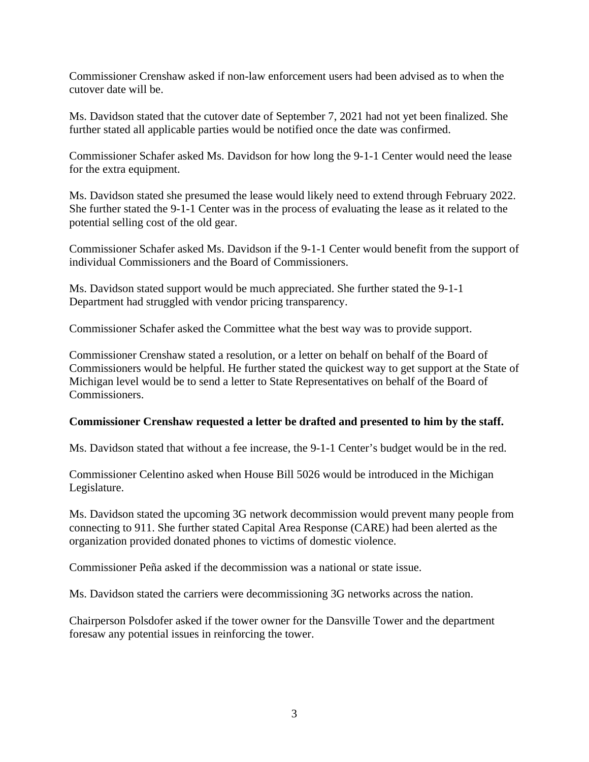Commissioner Crenshaw asked if non-law enforcement users had been advised as to when the cutover date will be.

Ms. Davidson stated that the cutover date of September 7, 2021 had not yet been finalized. She further stated all applicable parties would be notified once the date was confirmed.

Commissioner Schafer asked Ms. Davidson for how long the 9-1-1 Center would need the lease for the extra equipment.

Ms. Davidson stated she presumed the lease would likely need to extend through February 2022. She further stated the 9-1-1 Center was in the process of evaluating the lease as it related to the potential selling cost of the old gear.

Commissioner Schafer asked Ms. Davidson if the 9-1-1 Center would benefit from the support of individual Commissioners and the Board of Commissioners.

Ms. Davidson stated support would be much appreciated. She further stated the 9-1-1 Department had struggled with vendor pricing transparency.

Commissioner Schafer asked the Committee what the best way was to provide support.

Commissioner Crenshaw stated a resolution, or a letter on behalf on behalf of the Board of Commissioners would be helpful. He further stated the quickest way to get support at the State of Michigan level would be to send a letter to State Representatives on behalf of the Board of Commissioners.

## **Commissioner Crenshaw requested a letter be drafted and presented to him by the staff.**

Ms. Davidson stated that without a fee increase, the 9-1-1 Center's budget would be in the red.

Commissioner Celentino asked when House Bill 5026 would be introduced in the Michigan Legislature.

Ms. Davidson stated the upcoming 3G network decommission would prevent many people from connecting to 911. She further stated Capital Area Response (CARE) had been alerted as the organization provided donated phones to victims of domestic violence.

Commissioner Peña asked if the decommission was a national or state issue.

Ms. Davidson stated the carriers were decommissioning 3G networks across the nation.

Chairperson Polsdofer asked if the tower owner for the Dansville Tower and the department foresaw any potential issues in reinforcing the tower.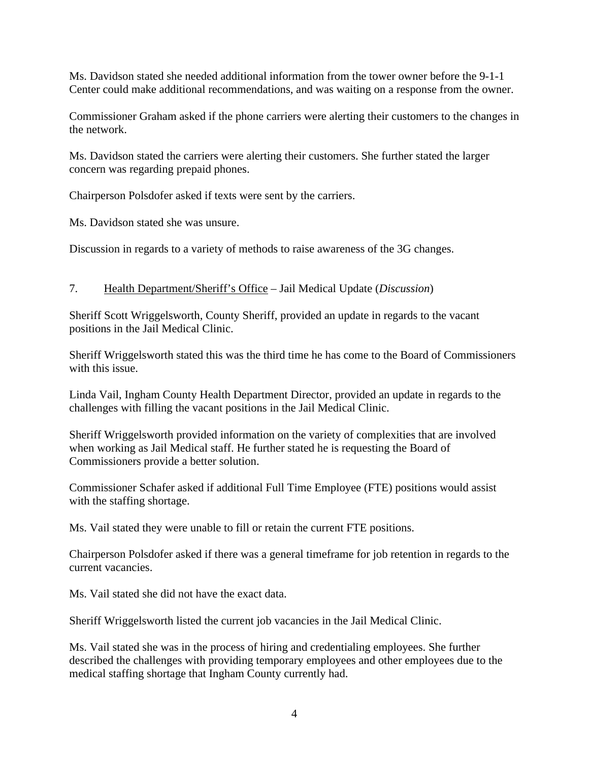Ms. Davidson stated she needed additional information from the tower owner before the 9-1-1 Center could make additional recommendations, and was waiting on a response from the owner.

Commissioner Graham asked if the phone carriers were alerting their customers to the changes in the network.

Ms. Davidson stated the carriers were alerting their customers. She further stated the larger concern was regarding prepaid phones.

Chairperson Polsdofer asked if texts were sent by the carriers.

Ms. Davidson stated she was unsure.

Discussion in regards to a variety of methods to raise awareness of the 3G changes.

# 7. Health Department/Sheriff's Office – Jail Medical Update (*Discussion*)

Sheriff Scott Wriggelsworth, County Sheriff, provided an update in regards to the vacant positions in the Jail Medical Clinic.

Sheriff Wriggelsworth stated this was the third time he has come to the Board of Commissioners with this issue.

Linda Vail, Ingham County Health Department Director, provided an update in regards to the challenges with filling the vacant positions in the Jail Medical Clinic.

Sheriff Wriggelsworth provided information on the variety of complexities that are involved when working as Jail Medical staff. He further stated he is requesting the Board of Commissioners provide a better solution.

Commissioner Schafer asked if additional Full Time Employee (FTE) positions would assist with the staffing shortage.

Ms. Vail stated they were unable to fill or retain the current FTE positions.

Chairperson Polsdofer asked if there was a general timeframe for job retention in regards to the current vacancies.

Ms. Vail stated she did not have the exact data.

Sheriff Wriggelsworth listed the current job vacancies in the Jail Medical Clinic.

Ms. Vail stated she was in the process of hiring and credentialing employees. She further described the challenges with providing temporary employees and other employees due to the medical staffing shortage that Ingham County currently had.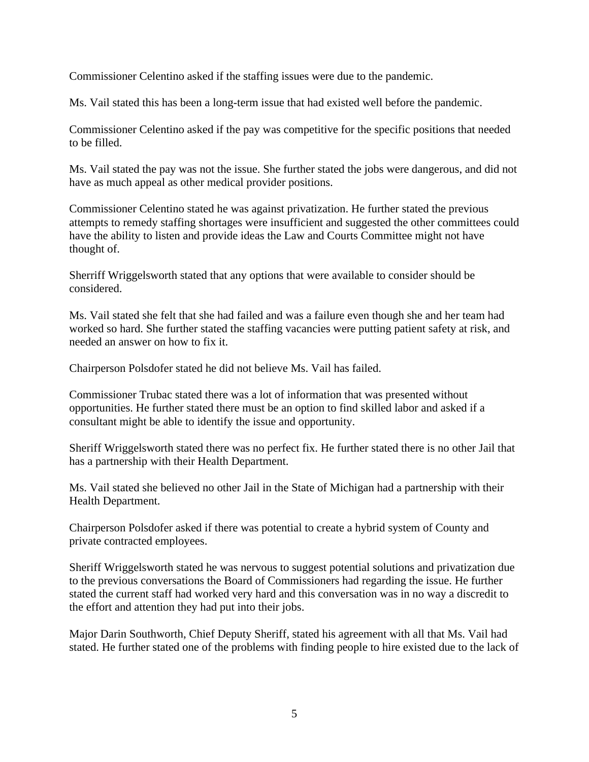Commissioner Celentino asked if the staffing issues were due to the pandemic.

Ms. Vail stated this has been a long-term issue that had existed well before the pandemic.

Commissioner Celentino asked if the pay was competitive for the specific positions that needed to be filled.

Ms. Vail stated the pay was not the issue. She further stated the jobs were dangerous, and did not have as much appeal as other medical provider positions.

Commissioner Celentino stated he was against privatization. He further stated the previous attempts to remedy staffing shortages were insufficient and suggested the other committees could have the ability to listen and provide ideas the Law and Courts Committee might not have thought of.

Sherriff Wriggelsworth stated that any options that were available to consider should be considered.

Ms. Vail stated she felt that she had failed and was a failure even though she and her team had worked so hard. She further stated the staffing vacancies were putting patient safety at risk, and needed an answer on how to fix it.

Chairperson Polsdofer stated he did not believe Ms. Vail has failed.

Commissioner Trubac stated there was a lot of information that was presented without opportunities. He further stated there must be an option to find skilled labor and asked if a consultant might be able to identify the issue and opportunity.

Sheriff Wriggelsworth stated there was no perfect fix. He further stated there is no other Jail that has a partnership with their Health Department.

Ms. Vail stated she believed no other Jail in the State of Michigan had a partnership with their Health Department.

Chairperson Polsdofer asked if there was potential to create a hybrid system of County and private contracted employees.

Sheriff Wriggelsworth stated he was nervous to suggest potential solutions and privatization due to the previous conversations the Board of Commissioners had regarding the issue. He further stated the current staff had worked very hard and this conversation was in no way a discredit to the effort and attention they had put into their jobs.

Major Darin Southworth, Chief Deputy Sheriff, stated his agreement with all that Ms. Vail had stated. He further stated one of the problems with finding people to hire existed due to the lack of